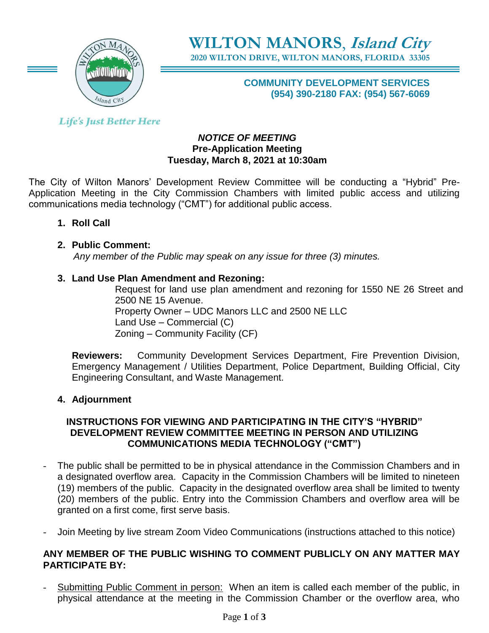

**WILTON MANORS**, **Island City 2020 WILTON DRIVE, WILTON MANORS, FLORIDA 33305**

## **COMMUNITY DEVELOPMENT SERVICES (954) 390-2180 FAX: (954) 567-6069**

**Life's Just Better Here** 

## *NOTICE OF MEETING* **Pre-Application Meeting Tuesday, March 8, 2021 at 10:30am**

The City of Wilton Manors' Development Review Committee will be conducting a "Hybrid" Pre-Application Meeting in the City Commission Chambers with limited public access and utilizing communications media technology ("CMT") for additional public access.

**1. Roll Call**

# **2. Public Comment:**

 *Any member of the Public may speak on any issue for three (3) minutes.*

## **3. Land Use Plan Amendment and Rezoning:**

Request for land use plan amendment and rezoning for 1550 NE 26 Street and 2500 NE 15 Avenue. Property Owner – UDC Manors LLC and 2500 NE LLC Land Use – Commercial (C) Zoning – Community Facility (CF)

**Reviewers:** Community Development Services Department, Fire Prevention Division, Emergency Management / Utilities Department, Police Department, Building Official, City Engineering Consultant, and Waste Management.

# **4. Adjournment**

## **INSTRUCTIONS FOR VIEWING AND PARTICIPATING IN THE CITY'S "HYBRID" DEVELOPMENT REVIEW COMMITTEE MEETING IN PERSON AND UTILIZING COMMUNICATIONS MEDIA TECHNOLOGY ("CMT")**

- The public shall be permitted to be in physical attendance in the Commission Chambers and in a designated overflow area. Capacity in the Commission Chambers will be limited to nineteen (19) members of the public. Capacity in the designated overflow area shall be limited to twenty (20) members of the public. Entry into the Commission Chambers and overflow area will be granted on a first come, first serve basis.
- Join Meeting by live stream Zoom Video Communications (instructions attached to this notice)

## **ANY MEMBER OF THE PUBLIC WISHING TO COMMENT PUBLICLY ON ANY MATTER MAY PARTICIPATE BY:**

Submitting Public Comment in person: When an item is called each member of the public, in physical attendance at the meeting in the Commission Chamber or the overflow area, who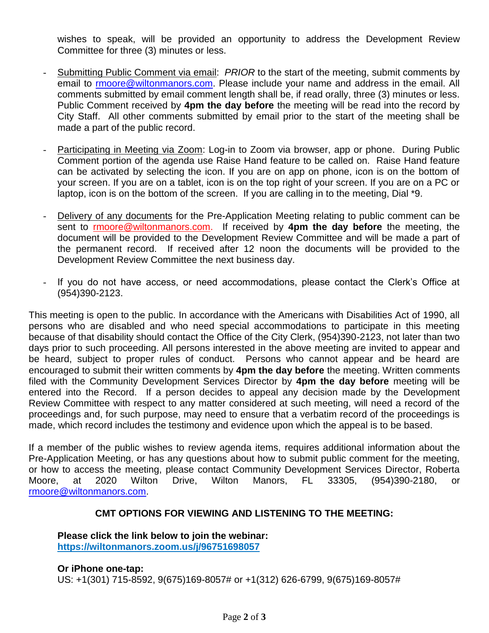wishes to speak, will be provided an opportunity to address the Development Review Committee for three (3) minutes or less.

- Submitting Public Comment via email: *PRIOR* to the start of the meeting, submit comments by email to [rmoore@wiltonmanors.com.](mailto:rmoore@wiltonmanors.com) Please include your name and address in the email. All comments submitted by email comment length shall be, if read orally, three (3) minutes or less. Public Comment received by **4pm the day before** the meeting will be read into the record by City Staff. All other comments submitted by email prior to the start of the meeting shall be made a part of the public record.
- Participating in Meeting via Zoom: Log-in to Zoom via browser, app or phone. During Public Comment portion of the agenda use Raise Hand feature to be called on. Raise Hand feature can be activated by selecting the icon. If you are on app on phone, icon is on the bottom of your screen. If you are on a tablet, icon is on the top right of your screen. If you are on a PC or laptop, icon is on the bottom of the screen. If you are calling in to the meeting, Dial \*9.
- Delivery of any documents for the Pre-Application Meeting relating to public comment can be sent to rmoor[e@wiltonmanors.com.](mailto:publiccomment@wiltonmanors.com) If received by **4pm the day before** the meeting, the document will be provided to the Development Review Committee and will be made a part of the permanent record. If received after 12 noon the documents will be provided to the Development Review Committee the next business day.
- If you do not have access, or need accommodations, please contact the Clerk's Office at (954)390-2123.

This meeting is open to the public. In accordance with the Americans with Disabilities Act of 1990, all persons who are disabled and who need special accommodations to participate in this meeting because of that disability should contact the Office of the City Clerk, (954)390-2123, not later than two days prior to such proceeding. All persons interested in the above meeting are invited to appear and be heard, subject to proper rules of conduct. Persons who cannot appear and be heard are encouraged to submit their written comments by **4pm the day before** the meeting. Written comments filed with the Community Development Services Director by **4pm the day before** meeting will be entered into the Record. If a person decides to appeal any decision made by the Development Review Committee with respect to any matter considered at such meeting, will need a record of the proceedings and, for such purpose, may need to ensure that a verbatim record of the proceedings is made, which record includes the testimony and evidence upon which the appeal is to be based.

If a member of the public wishes to review agenda items, requires additional information about the Pre-Application Meeting, or has any questions about how to submit public comment for the meeting, or how to access the meeting, please contact Community Development Services Director, Roberta Moore, at 2020 Wilton Drive, Wilton Manors, FL 33305, (954)390-2180, or [rmoore@wiltonmanors.com.](mailto:rmoore@wiltonmanors.com)

## **CMT OPTIONS FOR VIEWING AND LISTENING TO THE MEETING:**

**Please click the link below to join the webinar: <https://wiltonmanors.zoom.us/j/96751698057>**

**Or iPhone one-tap:**  US: +1(301) 715-8592, 9(675)169-8057# or +1(312) 626-6799, 9(675)169-8057#